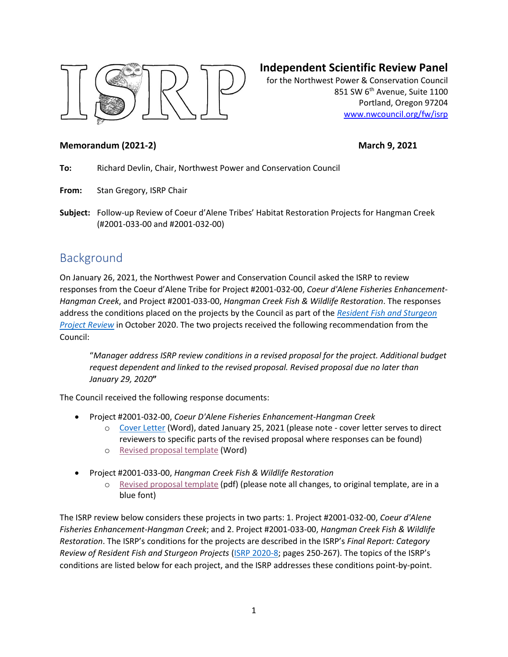

# **Independent Scientific Review Panel**

for the Northwest Power & Conservation Council 851 SW 6<sup>th</sup> Avenue, Suite 1100 Portland, Oregon 97204 [www.nwcouncil.org/fw/isrp](http://www.nwcouncil.org/fw/isrp)

#### **Memorandum (2021-2)** March 9, 2021

**To:** Richard Devlin, Chair, Northwest Power and Conservation Council

**From:** Stan Gregory, ISRP Chair

**Subject:** Follow-up Review of Coeur d'Alene Tribes' Habitat Restoration Projects for Hangman Creek (#2001-033-00 and #2001-032-00)

# Background

On January 26, 2021, the Northwest Power and Conservation Council asked the ISRP to review responses from the Coeur d'Alene Tribe for Project #2001-032-00, *Coeur d'Alene Fisheries Enhancement-Hangman Creek*, and Project #2001-033-00, *Hangman Creek Fish & Wildlife Restoration*. The responses address the conditions placed on the projects by the Council as part of the *[Resident Fish and Sturgeon](https://nwcouncil.app.box.com/file/734780879448?s=wms1iyy39pbspiva5b4uwtwovvqqfgh1)  [Project Review](https://nwcouncil.app.box.com/file/734780879448?s=wms1iyy39pbspiva5b4uwtwovvqqfgh1)* in October 2020. The two projects received the following recommendation from the Council:

"*Manager address ISRP review conditions in a revised proposal for the project. Additional budget request dependent and linked to the revised proposal. Revised proposal due no later than January 29, 2020***"**

The Council received the following response documents:

- Project #2001-032-00, *Coeur D'Alene Fisheries Enhancement-Hangman Creek*
	- o [Cover Letter](https://nwcouncil.box.com/s/34i6p9y8glwv1z6lgo6i76s3b0p31uhv) (Word), dated January 25, 2021 (please note cover letter serves to direct reviewers to specific parts of the revised proposal where responses can be found)
	- o [Revised proposal template](https://nwcouncil.box.com/s/dl4y1fle32yt9vr7omi1032qc6as3sph) (Word)
- Project #2001-033-00, *Hangman Creek Fish & Wildlife Restoration*
	- o [Revised proposal template](https://nwcouncil.box.com/s/q9fqiizg16sorxci0fjf9cogggsyq8bz) (pdf) (please note all changes, to original template, are in a blue font)

The ISRP review below considers these projects in two parts: 1. Project #2001-032-00, *Coeur d'Alene Fisheries Enhancement-Hangman Creek*; and 2. Project #2001-033-00, *Hangman Creek Fish & Wildlife Restoration*. The ISRP's conditions for the projects are described in the ISRP's *Final Report: Category Review of Resident Fish and Sturgeon Projects* [\(ISRP 2020-8;](https://www.nwcouncil.org/sites/default/files/isrp2020-8.pdf) pages 250-267). The topics of the ISRP's conditions are listed below for each project, and the ISRP addresses these conditions point-by-point.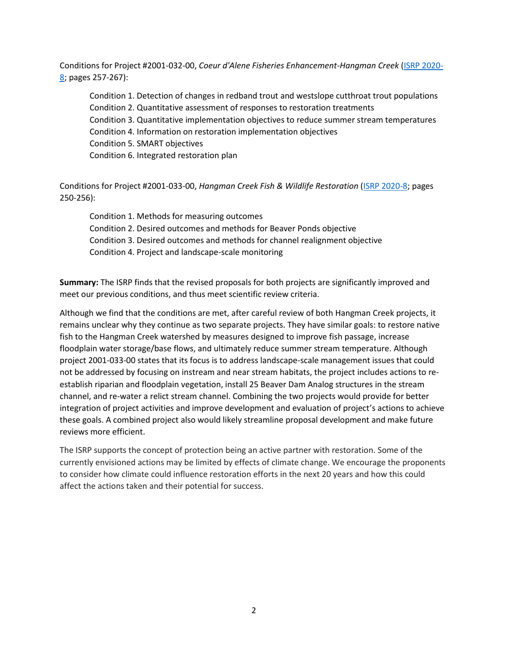Conditions for Project #2001-032-00, *Coeur d'Alene Fisheries Enhancement-Hangman Creek* [\(ISRP 2020-](https://www.nwcouncil.org/sites/default/files/isrp2020-8.pdf) [8;](https://www.nwcouncil.org/sites/default/files/isrp2020-8.pdf) pages 257-267):

Condition 1. Detection of changes in redband trout and westslope cutthroat trout populations Condition 2. Quantitative assessment of responses to restoration treatments Condition 3. Quantitative implementation objectives to reduce summer stream temperatures Condition 4. Information on restoration implementation objectives Condition 5. SMART objectives Condition 6. Integrated restoration plan

Conditions for Project #2001-033-00, *Hangman Creek Fish & Wildlife Restoration* [\(ISRP 2020-8;](https://www.nwcouncil.org/sites/default/files/isrp2020-8.pdf) pages 250-256):

Condition 1. Methods for measuring outcomes Condition 2. Desired outcomes and methods for Beaver Ponds objective Condition 3. Desired outcomes and methods for channel realignment objective Condition 4. Project and landscape-scale monitoring

**Summary:** The ISRP finds that the revised proposals for both projects are significantly improved and meet our previous conditions, and thus meet scientific review criteria.

Although we find that the conditions are met, after careful review of both Hangman Creek projects, it remains unclear why they continue as two separate projects. They have similar goals: to restore native fish to the Hangman Creek watershed by measures designed to improve fish passage, increase floodplain water storage/base flows, and ultimately reduce summer stream temperature. Although project 2001-033-00 states that its focus is to address landscape-scale management issues that could not be addressed by focusing on instream and near stream habitats, the project includes actions to reestablish riparian and floodplain vegetation, install 25 Beaver Dam Analog structures in the stream channel, and re-water a relict stream channel. Combining the two projects would provide for better integration of project activities and improve development and evaluation of project's actions to achieve these goals. A combined project also would likely streamline proposal development and make future reviews more efficient.

The ISRP supports the concept of protection being an active partner with restoration. Some of the currently envisioned actions may be limited by effects of climate change. We encourage the proponents to consider how climate could influence restoration efforts in the next 20 years and how this could affect the actions taken and their potential for success.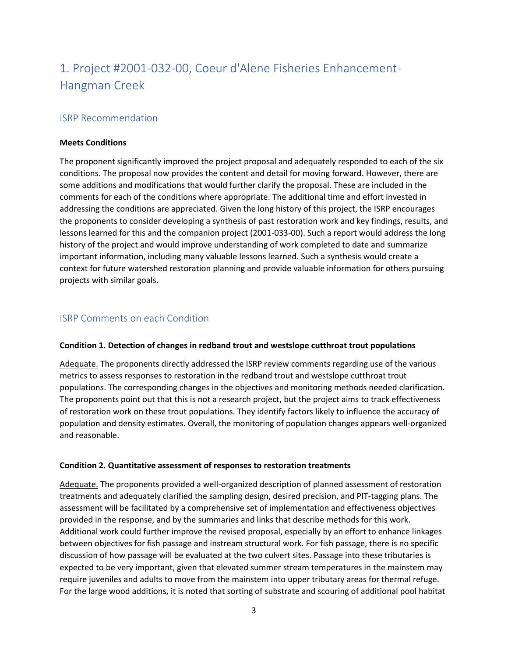# 1. Project #2001-032-00, Coeur d'Alene Fisheries Enhancement-Hangman Creek

### ISRP Recommendation

#### **Meets Conditions**

The proponent significantly improved the project proposal and adequately responded to each of the six conditions. The proposal now provides the content and detail for moving forward. However, there are some additions and modifications that would further clarify the proposal. These are included in the comments for each of the conditions where appropriate. The additional time and effort invested in addressing the conditions are appreciated. Given the long history of this project, the ISRP encourages the proponents to consider developing a synthesis of past restoration work and key findings, results, and lessons learned for this and the companion project (2001-033-00). Such a report would address the long history of the project and would improve understanding of work completed to date and summarize important information, including many valuable lessons learned. Such a synthesis would create a context for future watershed restoration planning and provide valuable information for others pursuing projects with similar goals.

#### ISRP Comments on each Condition

#### **Condition 1. Detection of changes in redband trout and westslope cutthroat trout populations**

Adequate. The proponents directly addressed the ISRP review comments regarding use of the various metrics to assess responses to restoration in the redband trout and westslope cutthroat trout populations. The corresponding changes in the objectives and monitoring methods needed clarification. The proponents point out that this is not a research project, but the project aims to track effectiveness of restoration work on these trout populations. They identify factors likely to influence the accuracy of population and density estimates. Overall, the monitoring of population changes appears well-organized and reasonable.

#### **Condition 2. Quantitative assessment of responses to restoration treatments**

Adequate. The proponents provided a well-organized description of planned assessment of restoration treatments and adequately clarified the sampling design, desired precision, and PIT-tagging plans. The assessment will be facilitated by a comprehensive set of implementation and effectiveness objectives provided in the response, and by the summaries and links that describe methods for this work. Additional work could further improve the revised proposal, especially by an effort to enhance linkages between objectives for fish passage and instream structural work. For fish passage, there is no specific discussion of how passage will be evaluated at the two culvert sites. Passage into these tributaries is expected to be very important, given that elevated summer stream temperatures in the mainstem may require juveniles and adults to move from the mainstem into upper tributary areas for thermal refuge. For the large wood additions, it is noted that sorting of substrate and scouring of additional pool habitat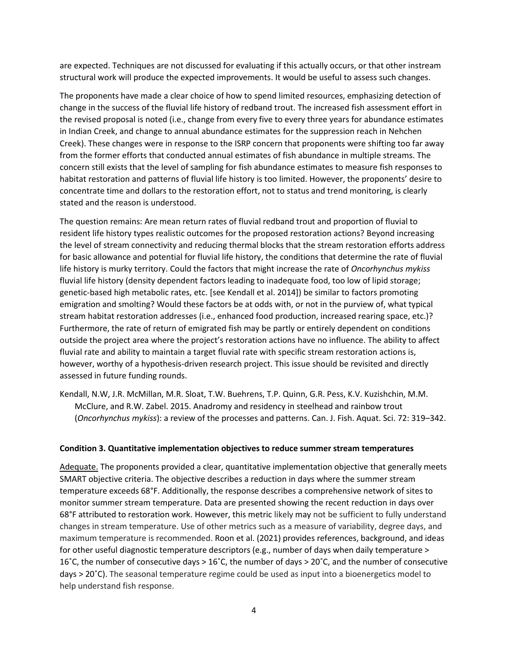are expected. Techniques are not discussed for evaluating if this actually occurs, or that other instream structural work will produce the expected improvements. It would be useful to assess such changes.

The proponents have made a clear choice of how to spend limited resources, emphasizing detection of change in the success of the fluvial life history of redband trout. The increased fish assessment effort in the revised proposal is noted (i.e., change from every five to every three years for abundance estimates in Indian Creek, and change to annual abundance estimates for the suppression reach in Nehchen Creek). These changes were in response to the ISRP concern that proponents were shifting too far away from the former efforts that conducted annual estimates of fish abundance in multiple streams. The concern still exists that the level of sampling for fish abundance estimates to measure fish responses to habitat restoration and patterns of fluvial life history is too limited. However, the proponents' desire to concentrate time and dollars to the restoration effort, not to status and trend monitoring, is clearly stated and the reason is understood.

The question remains: Are mean return rates of fluvial redband trout and proportion of fluvial to resident life history types realistic outcomes for the proposed restoration actions? Beyond increasing the level of stream connectivity and reducing thermal blocks that the stream restoration efforts address for basic allowance and potential for fluvial life history, the conditions that determine the rate of fluvial life history is murky territory. Could the factors that might increase the rate of *Oncorhynchus mykiss* fluvial life history (density dependent factors leading to inadequate food, too low of lipid storage; genetic-based high metabolic rates, etc. [see Kendall et al. 2014]) be similar to factors promoting emigration and smolting? Would these factors be at odds with, or not in the purview of, what typical stream habitat restoration addresses (i.e., enhanced food production, increased rearing space, etc.)? Furthermore, the rate of return of emigrated fish may be partly or entirely dependent on conditions outside the project area where the project's restoration actions have no influence. The ability to affect fluvial rate and ability to maintain a target fluvial rate with specific stream restoration actions is, however, worthy of a hypothesis-driven research project. This issue should be revisited and directly assessed in future funding rounds.

Kendall, N.W, J.R. McMillan, M.R. Sloat, T.W. Buehrens, T.P. Quinn, G.R. Pess, K.V. Kuzishchin, M.M. McClure, and R.W. Zabel. 2015. Anadromy and residency in steelhead and rainbow trout (*Oncorhynchus mykiss*): a review of the processes and patterns. Can. J. Fish. Aquat. Sci. 72: 319–342.

#### **Condition 3. Quantitative implementation objectives to reduce summer stream temperatures**

Adequate. The proponents provided a clear, quantitative implementation objective that generally meets SMART objective criteria. The objective describes a reduction in days where the summer stream temperature exceeds 68°F. Additionally, the response describes a comprehensive network of sites to monitor summer stream temperature. Data are presented showing the recent reduction in days over 68°F attributed to restoration work. However, this metric likely may not be sufficient to fully understand changes in stream temperature. Use of other metrics such as a measure of variability, degree days, and maximum temperature is recommended. Roon et al. (2021) provides references, background, and ideas for other useful diagnostic temperature descriptors (e.g., number of days when daily temperature > 16˚C, the number of consecutive days > 16˚C, the number of days > 20˚C, and the number of consecutive days > 20˚C). The seasonal temperature regime could be used as input into a bioenergetics model to help understand fish response.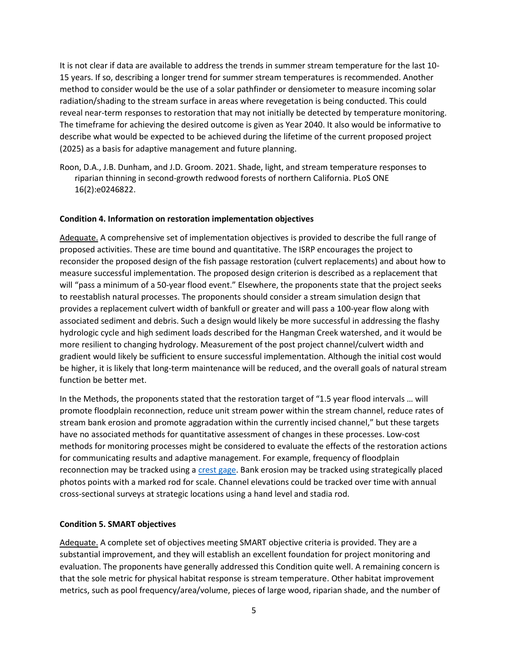It is not clear if data are available to address the trends in summer stream temperature for the last 10- 15 years. If so, describing a longer trend for summer stream temperatures is recommended. Another method to consider would be the use of a solar pathfinder or densiometer to measure incoming solar radiation/shading to the stream surface in areas where revegetation is being conducted. This could reveal near-term responses to restoration that may not initially be detected by temperature monitoring. The timeframe for achieving the desired outcome is given as Year 2040. It also would be informative to describe what would be expected to be achieved during the lifetime of the current proposed project (2025) as a basis for adaptive management and future planning.

Roon, D.A., J.B. Dunham, and J.D. Groom. 2021. Shade, light, and stream temperature responses to riparian thinning in second-growth redwood forests of northern California. PLoS ONE 16(2):e0246822.

#### **Condition 4. Information on restoration implementation objectives**

Adequate. A comprehensive set of implementation objectives is provided to describe the full range of proposed activities. These are time bound and quantitative. The ISRP encourages the project to reconsider the proposed design of the fish passage restoration (culvert replacements) and about how to measure successful implementation. The proposed design criterion is described as a replacement that will "pass a minimum of a 50-year flood event." Elsewhere, the proponents state that the project seeks to reestablish natural processes. The proponents should consider a stream simulation design that provides a replacement culvert width of bankfull or greater and will pass a 100-year flow along with associated sediment and debris. Such a design would likely be more successful in addressing the flashy hydrologic cycle and high sediment loads described for the Hangman Creek watershed, and it would be more resilient to changing hydrology. Measurement of the post project channel/culvert width and gradient would likely be sufficient to ensure successful implementation. Although the initial cost would be higher, it is likely that long-term maintenance will be reduced, and the overall goals of natural stream function be better met.

In the Methods, the proponents stated that the restoration target of "1.5 year flood intervals … will promote floodplain reconnection, reduce unit stream power within the stream channel, reduce rates of stream bank erosion and promote aggradation within the currently incised channel," but these targets have no associated methods for quantitative assessment of changes in these processes. Low-cost methods for monitoring processes might be considered to evaluate the effects of the restoration actions for communicating results and adaptive management. For example, frequency of floodplain reconnection may be tracked using a [crest gage.](https://www.usgs.gov/special-topic/water-science-school/science/crest-gage-a-quick-way-measure-river-stage?qt-science_center_objects=0#qt-science_center_objects) Bank erosion may be tracked using strategically placed photos points with a marked rod for scale. Channel elevations could be tracked over time with annual cross-sectional surveys at strategic locations using a hand level and stadia rod.

#### **Condition 5. SMART objectives**

Adequate. A complete set of objectives meeting SMART objective criteria is provided. They are a substantial improvement, and they will establish an excellent foundation for project monitoring and evaluation. The proponents have generally addressed this Condition quite well. A remaining concern is that the sole metric for physical habitat response is stream temperature. Other habitat improvement metrics, such as pool frequency/area/volume, pieces of large wood, riparian shade, and the number of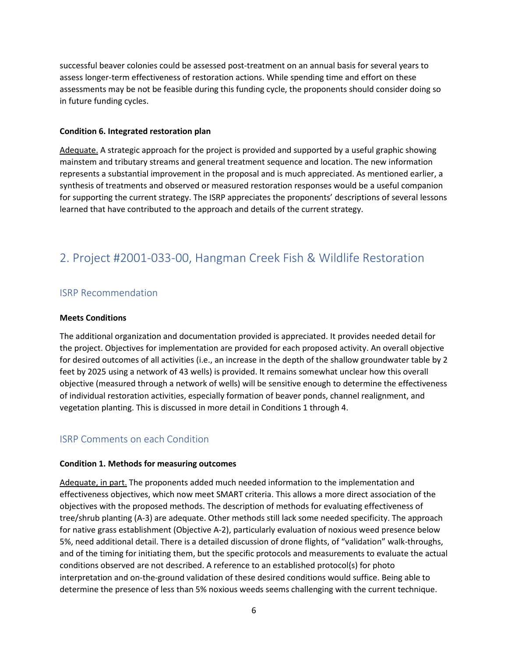successful beaver colonies could be assessed post-treatment on an annual basis for several years to assess longer-term effectiveness of restoration actions. While spending time and effort on these assessments may be not be feasible during this funding cycle, the proponents should consider doing so in future funding cycles.

#### **Condition 6. Integrated restoration plan**

Adequate. A strategic approach for the project is provided and supported by a useful graphic showing mainstem and tributary streams and general treatment sequence and location. The new information represents a substantial improvement in the proposal and is much appreciated. As mentioned earlier, a synthesis of treatments and observed or measured restoration responses would be a useful companion for supporting the current strategy. The ISRP appreciates the proponents' descriptions of several lessons learned that have contributed to the approach and details of the current strategy.

# 2. Project #2001-033-00, Hangman Creek Fish & Wildlife Restoration

#### ISRP Recommendation

#### **Meets Conditions**

The additional organization and documentation provided is appreciated. It provides needed detail for the project. Objectives for implementation are provided for each proposed activity. An overall objective for desired outcomes of all activities (i.e., an increase in the depth of the shallow groundwater table by 2 feet by 2025 using a network of 43 wells) is provided. It remains somewhat unclear how this overall objective (measured through a network of wells) will be sensitive enough to determine the effectiveness of individual restoration activities, especially formation of beaver ponds, channel realignment, and vegetation planting. This is discussed in more detail in Conditions 1 through 4.

#### ISRP Comments on each Condition

#### **Condition 1. Methods for measuring outcomes**

Adequate, in part. The proponents added much needed information to the implementation and effectiveness objectives, which now meet SMART criteria. This allows a more direct association of the objectives with the proposed methods. The description of methods for evaluating effectiveness of tree/shrub planting (A-3) are adequate. Other methods still lack some needed specificity. The approach for native grass establishment (Objective A-2), particularly evaluation of noxious weed presence below 5%, need additional detail. There is a detailed discussion of drone flights, of "validation" walk-throughs, and of the timing for initiating them, but the specific protocols and measurements to evaluate the actual conditions observed are not described. A reference to an established protocol(s) for photo interpretation and on-the-ground validation of these desired conditions would suffice. Being able to determine the presence of less than 5% noxious weeds seems challenging with the current technique.